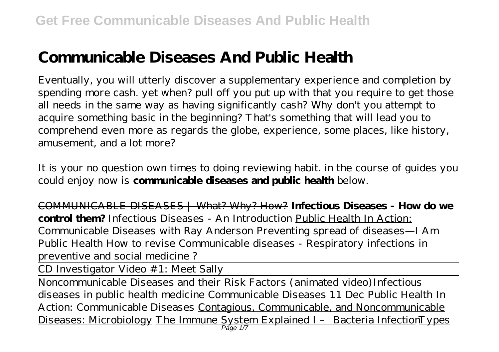# **Communicable Diseases And Public Health**

Eventually, you will utterly discover a supplementary experience and completion by spending more cash. yet when? pull off you put up with that you require to get those all needs in the same way as having significantly cash? Why don't you attempt to acquire something basic in the beginning? That's something that will lead you to comprehend even more as regards the globe, experience, some places, like history, amusement, and a lot more?

It is your no question own times to doing reviewing habit. in the course of guides you could enjoy now is **communicable diseases and public health** below.

COMMUNICABLE DISEASES | What? Why? How? **Infectious Diseases - How do we control them?** *Infectious Diseases - An Introduction* Public Health In Action: Communicable Diseases with Ray Anderson *Preventing spread of diseases—I Am Public Health How to revise Communicable diseases - Respiratory infections in preventive and social medicine ?*

CD Investigator Video #1: Meet Sally

Noncommunicable Diseases and their Risk Factors (animated video)*Infectious diseases in public health medicine Communicable Diseases 11 Dec* Public Health In Action: Communicable Diseases Contagious, Communicable, and Noncommunicable Diseases: Microbiology The Immune System Explained I – Bacteria InfectionTypes Păge 1/7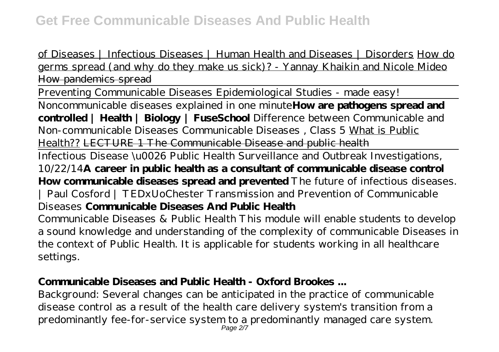of Diseases | Infectious Diseases | Human Health and Diseases | Disorders How do germs spread (and why do they make us sick)? - Yannay Khaikin and Nicole Mideo How pandemics spread

Preventing Communicable Diseases Epidemiological Studies - made easy!

Noncommunicable diseases explained in one minute**How are pathogens spread and controlled | Health | Biology | FuseSchool** *Difference between Communicable and Non-communicable Diseases Communicable Diseases , Class 5* What is Public Health?? LECTURE 1 The Communicable Disease and public health

Infectious Disease \u0026 Public Health Surveillance and Outbreak Investigations, 10/22/14**A career in public health as a consultant of communicable disease control How communicable diseases spread and prevented** *The future of infectious diseases. | Paul Cosford | TEDxUoChester Transmission and Prevention of Communicable Diseases* **Communicable Diseases And Public Health**

Communicable Diseases & Public Health This module will enable students to develop a sound knowledge and understanding of the complexity of communicable Diseases in the context of Public Health. It is applicable for students working in all healthcare settings.

# **Communicable Diseases and Public Health - Oxford Brookes ...**

Background: Several changes can be anticipated in the practice of communicable disease control as a result of the health care delivery system's transition from a predominantly fee-for-service system to a predominantly managed care system. Page 2/7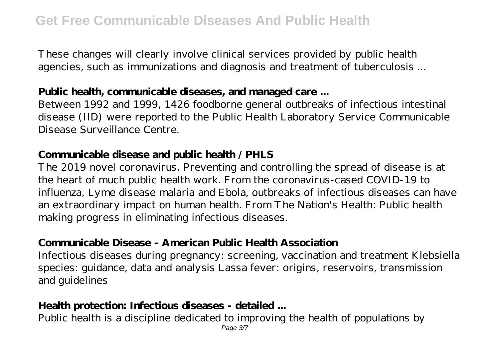These changes will clearly involve clinical services provided by public health agencies, such as immunizations and diagnosis and treatment of tuberculosis ...

## **Public health, communicable diseases, and managed care ...**

Between 1992 and 1999, 1426 foodborne general outbreaks of infectious intestinal disease (IID) were reported to the Public Health Laboratory Service Communicable Disease Surveillance Centre.

#### **Communicable disease and public health / PHLS**

The 2019 novel coronavirus. Preventing and controlling the spread of disease is at the heart of much public health work. From the coronavirus-cased COVID-19 to influenza, Lyme disease malaria and Ebola, outbreaks of infectious diseases can have an extraordinary impact on human health. From The Nation's Health: Public health making progress in eliminating infectious diseases.

## **Communicable Disease - American Public Health Association**

Infectious diseases during pregnancy: screening, vaccination and treatment Klebsiella species: guidance, data and analysis Lassa fever: origins, reservoirs, transmission and guidelines

#### **Health protection: Infectious diseases - detailed ...**

Public health is a discipline dedicated to improving the health of populations by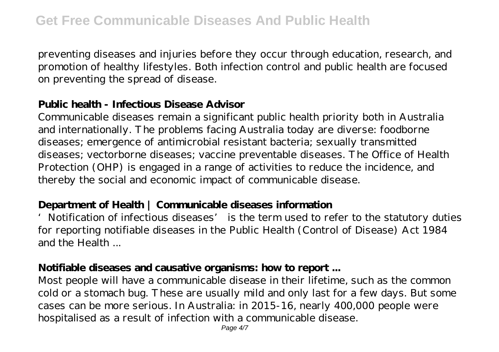preventing diseases and injuries before they occur through education, research, and promotion of healthy lifestyles. Both infection control and public health are focused on preventing the spread of disease.

## **Public health - Infectious Disease Advisor**

Communicable diseases remain a significant public health priority both in Australia and internationally. The problems facing Australia today are diverse: foodborne diseases; emergence of antimicrobial resistant bacteria; sexually transmitted diseases; vectorborne diseases; vaccine preventable diseases. The Office of Health Protection (OHP) is engaged in a range of activities to reduce the incidence, and thereby the social and economic impact of communicable disease.

## **Department of Health | Communicable diseases information**

'Notification of infectious diseases' is the term used to refer to the statutory duties for reporting notifiable diseases in the Public Health (Control of Disease) Act 1984 and the Health

#### **Notifiable diseases and causative organisms: how to report ...**

Most people will have a communicable disease in their lifetime, such as the common cold or a stomach bug. These are usually mild and only last for a few days. But some cases can be more serious. In Australia: in 2015-16, nearly 400,000 people were hospitalised as a result of infection with a communicable disease.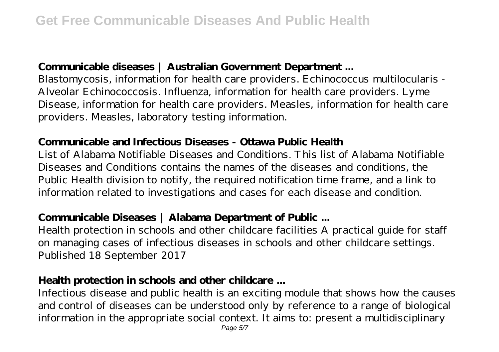## **Communicable diseases | Australian Government Department ...**

Blastomycosis, information for health care providers. Echinococcus multilocularis - Alveolar Echinococcosis. Influenza, information for health care providers. Lyme Disease, information for health care providers. Measles, information for health care providers. Measles, laboratory testing information.

#### **Communicable and Infectious Diseases - Ottawa Public Health**

List of Alabama Notifiable Diseases and Conditions. This list of Alabama Notifiable Diseases and Conditions contains the names of the diseases and conditions, the Public Health division to notify, the required notification time frame, and a link to information related to investigations and cases for each disease and condition.

## **Communicable Diseases | Alabama Department of Public ...**

Health protection in schools and other childcare facilities A practical guide for staff on managing cases of infectious diseases in schools and other childcare settings. Published 18 September 2017

#### **Health protection in schools and other childcare ...**

Infectious disease and public health is an exciting module that shows how the causes and control of diseases can be understood only by reference to a range of biological information in the appropriate social context. It aims to: present a multidisciplinary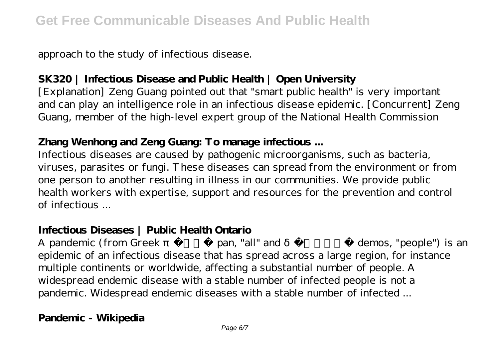approach to the study of infectious disease.

# **SK320 | Infectious Disease and Public Health | Open University**

[Explanation] Zeng Guang pointed out that "smart public health" is very important and can play an intelligence role in an infectious disease epidemic. [Concurrent] Zeng Guang, member of the high-level expert group of the National Health Commission

# **Zhang Wenhong and Zeng Guang: To manage infectious ...**

Infectious diseases are caused by pathogenic microorganisms, such as bacteria, viruses, parasites or fungi. These diseases can spread from the environment or from one person to another resulting in illness in our communities. We provide public health workers with expertise, support and resources for the prevention and control of infectious ...

## **Infectious Diseases | Public Health Ontario**

A pandemic (from Greek,  $\frac{1}{2}$ , pan, "all" and  $\frac{1}{2}$ , demos, "people") is an epidemic of an infectious disease that has spread across a large region, for instance multiple continents or worldwide, affecting a substantial number of people. A widespread endemic disease with a stable number of infected people is not a pandemic. Widespread endemic diseases with a stable number of infected ...

# **Pandemic - Wikipedia**